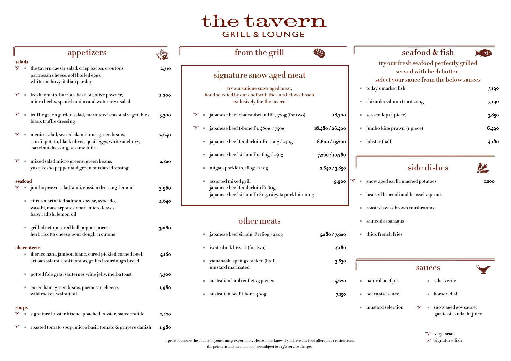| appetizers                                                                                                                                          | 精神    | from the grill                                                                                                                                                                                         | 电                        |                                                                                                                                                | seafood & fish                                           | $\boldsymbol{\mathcal{A}}$ |
|-----------------------------------------------------------------------------------------------------------------------------------------------------|-------|--------------------------------------------------------------------------------------------------------------------------------------------------------------------------------------------------------|--------------------------|------------------------------------------------------------------------------------------------------------------------------------------------|----------------------------------------------------------|----------------------------|
| salads<br>the tavern caesar salad, crisp bacon, croutons,<br>"S"<br>parmesan cheese, soft boiled eggs,<br>white anchovy, italian parsley            | 2,310 | signature snow aged meat<br>try our unique snow aged meat,                                                                                                                                             |                          | try our fresh seafood perfectly grilled<br>served with herb butter,<br>select your sauce from the below sauces<br>today's market fish<br>3,190 |                                                          |                            |
| fresh tomato, burrata, basil oil, olive powder,<br>micro herbs, spanish onion and watercress salad                                                  | 2,200 | hand selected by our chef with the cuts below chosen<br>exclusively for 'the tavern'                                                                                                                   |                          | shizuoka salmon trout 200g<br>3,190                                                                                                            |                                                          |                            |
| truffle green garden salad, marinated seasonal vegetables,<br>black truffle dressing                                                                | 3,300 | japanese beef chateaubriand F1, 320g (for two)                                                                                                                                                         | 18,700                   | sea scallop (4 piece)                                                                                                                          |                                                          | 3.850                      |
|                                                                                                                                                     |       | $\blacksquare$ japanese beef t-bone F1, 480g / 750g<br>"S"                                                                                                                                             | 18,480 / 26,400          | jumbo king prawn (I piece)                                                                                                                     |                                                          | 6,490                      |
| "S"<br>nicoise salad, seared akami tuna, green beans,<br>confit potato, black olives, quail eggs, white anchovy,<br>hazelnut dressing, sesame tuile | 2,640 | japanese beef tenderloin F1, 160g / 240g                                                                                                                                                               | $8,8$ 00 $/$ 13,200 $\,$ | lobster (half)                                                                                                                                 |                                                          | 4,180                      |
|                                                                                                                                                     |       | japanese beef sirloin F1, 160g / 240g                                                                                                                                                                  | 7,260 / 10,780           |                                                                                                                                                |                                                          |                            |
| mixed salad, micro greens, green beans,<br>yuzu kosho pepper and green mustard dressing                                                             | 2,420 | niigata porkloin, 160g / 240g                                                                                                                                                                          | 2,640/3,850              |                                                                                                                                                | side dishes                                              | 濃                          |
| seafood                                                                                                                                             |       | assorted mixed grill<br>9,900                                                                                                                                                                          |                          | snow aged garlic mashed potatoes<br>$\mathbf{H} \cap \mathbf{H}$<br><b>I,IOO</b>                                                               |                                                          |                            |
| jumbo prawn salad, aioli, russian dressing, lemon                                                                                                   | 3,960 | japanese beef tenderloin F1 80g,<br>japanese beef sirloin F1 80g, niigata pork loin 100g                                                                                                               |                          | braised broccoli and brussels sprouts<br>roasted swiss brown mushrooms                                                                         |                                                          |                            |
| citrus marinated salmon, caviar, avocado,<br>wasabi, mascarpone cream, micro leaves,                                                                | 2,640 |                                                                                                                                                                                                        |                          |                                                                                                                                                |                                                          |                            |
| baby radish, lemon oil                                                                                                                              |       | other meats                                                                                                                                                                                            |                          | sauteed asparagus                                                                                                                              |                                                          |                            |
| grilled octopus, red bell pepper puree,<br>herb ricotta cheese, sour dough croutons                                                                 | 3,080 | japanese beef sirloin F1160g / 240g                                                                                                                                                                    | 5,280/7,920              | thick french fries                                                                                                                             |                                                          |                            |
| charcuterie                                                                                                                                         |       | • iwate duck breast (for two)                                                                                                                                                                          | 4,180                    |                                                                                                                                                |                                                          |                            |
| iberico ham, jambon blanc, cured pickled corned beef,                                                                                               | 4,180 |                                                                                                                                                                                                        |                          |                                                                                                                                                |                                                          |                            |
| artisan salami, confit onion, grilled sourdough bread                                                                                               |       | yamanashi spring chicken (half),<br>mustard marinated                                                                                                                                                  | 3,630                    |                                                                                                                                                | sauces                                                   |                            |
| potted foie gras, sauternes wine jelly, melba toast                                                                                                 | 3,300 |                                                                                                                                                                                                        |                          |                                                                                                                                                |                                                          |                            |
| cured ham, green beans, parmesan cheese,                                                                                                            | 1,980 | australian lamb cutlets 3 pieces                                                                                                                                                                       | 4,620                    | natural beef jus                                                                                                                               | salsa verde                                              |                            |
| wild rocket, walnut oil                                                                                                                             |       | australian beef t-bone 400g                                                                                                                                                                            | 7,150                    | bearnaise sauce                                                                                                                                | horseradish                                              |                            |
| soups<br>signature lobster bisque, poached lobster, sauce rouille<br>"S"                                                                            | 2,420 |                                                                                                                                                                                                        |                          | mustard selection                                                                                                                              | "S"<br>snow aged soy sauce,<br>garlic oil, sudachi juice |                            |
| roasted tomato soup, micro basil, tomato $\&$ gruyere danish                                                                                        |       |                                                                                                                                                                                                        |                          |                                                                                                                                                |                                                          |                            |
|                                                                                                                                                     | 1,980 | to greater ensure the quality of your dining experience, please let us know if you have any food allergies or restrictions.<br>the price listed (tax included) are subject to a $r^{0}$ service charge |                          |                                                                                                                                                | "V" vegetarian<br>"S" signature dish                     |                            |

- 
- 

- 
- 
- 

|  | "S" • signature lobster bisque, poached lobster, sauce rouille                      |
|--|-------------------------------------------------------------------------------------|
|  | " $V''$ $\blacksquare$ roasted tomato soup, micro basil, tomato $\&$ gruyere danish |

## the tavern **GRILL & LOUNGE**

- -

 $\mathbf{f}$  is the price subject to a 15% service charge.